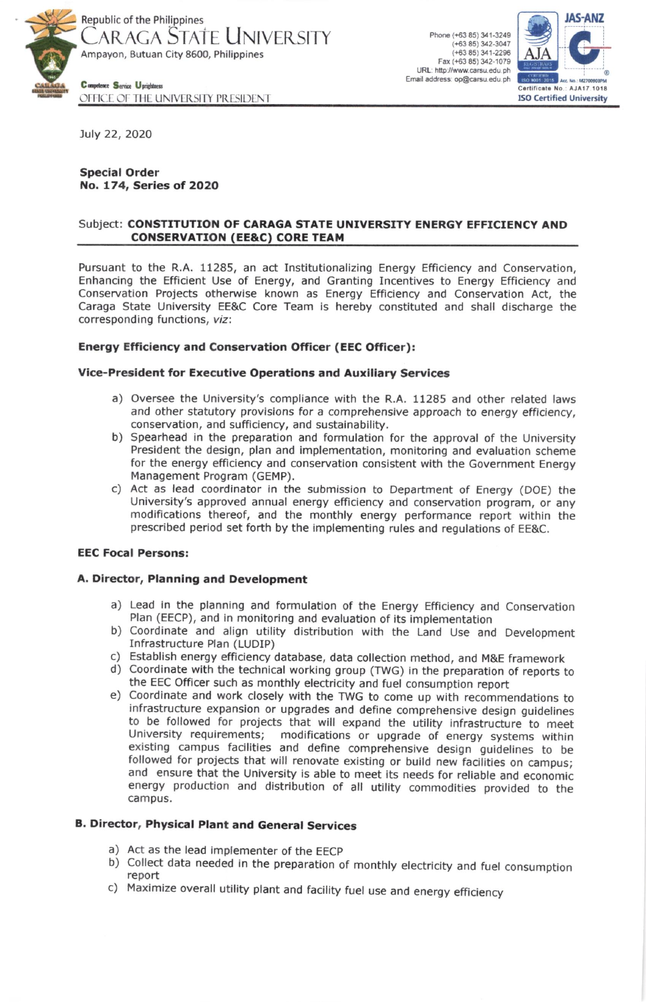

Phone (+63 85) 341-3249  $(+63 85)$  342-3047  $(+6385)341-2296$ Fax (+63 85) 342-1079 URL: http://www.carsu.edu.ph Email address: op@carsu.edu.ph



OFFICE OF THE UNIVERSITY PRESIDENT

July 22, 2020

## **Special Order** No. 174, Series of 2020

## Subject: CONSTITUTION OF CARAGA STATE UNIVERSITY ENERGY EFFICIENCY AND **CONSERVATION (EE&C) CORE TEAM**

Pursuant to the R.A. 11285, an act Institutionalizing Energy Efficiency and Conservation, Enhancing the Efficient Use of Energy, and Granting Incentives to Energy Efficiency and Conservation Projects otherwise known as Energy Efficiency and Conservation Act, the Caraga State University EE&C Core Team is hereby constituted and shall discharge the corresponding functions, viz:

## **Energy Efficiency and Conservation Officer (EEC Officer):**

## Vice-President for Executive Operations and Auxiliary Services

- a) Oversee the University's compliance with the R.A. 11285 and other related laws and other statutory provisions for a comprehensive approach to energy efficiency, conservation, and sufficiency, and sustainability.
- b) Spearhead in the preparation and formulation for the approval of the University President the design, plan and implementation, monitoring and evaluation scheme for the energy efficiency and conservation consistent with the Government Energy Management Program (GEMP).
- c) Act as lead coordinator in the submission to Department of Energy (DOE) the University's approved annual energy efficiency and conservation program, or any modifications thereof, and the monthly energy performance report within the prescribed period set forth by the implementing rules and regulations of EE&C.

## **EEC Focal Persons:**

## A. Director, Planning and Development

- a) Lead in the planning and formulation of the Energy Efficiency and Conservation Plan (EECP), and in monitoring and evaluation of its implementation
- b) Coordinate and align utility distribution with the Land Use and Development Infrastructure Plan (LUDIP)
- c) Establish energy efficiency database, data collection method, and M&E framework
- d) Coordinate with the technical working group (TWG) in the preparation of reports to the EEC Officer such as monthly electricity and fuel consumption report
- e) Coordinate and work closely with the TWG to come up with recommendations to infrastructure expansion or upgrades and define comprehensive design guidelines to be followed for projects that will expand the utility infrastructure to meet University requirements; modifications or upgrade of energy systems within existing campus facilities and define comprehensive design guidelines to be followed for projects that will renovate existing or build new facilities on campus; and ensure that the University is able to meet its needs for reliable and economic energy production and distribution of all utility commodities provided to the campus.

# **B. Director, Physical Plant and General Services**

- a) Act as the lead implementer of the EECP
- b) Collect data needed in the preparation of monthly electricity and fuel consumption report
- c) Maximize overall utility plant and facility fuel use and energy efficiency